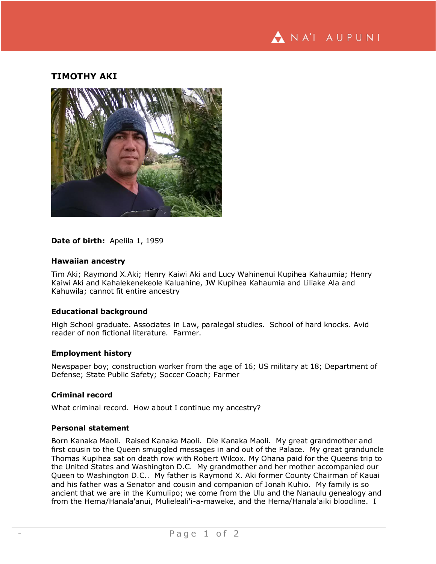NA'I AUPUNI

# **TIMOTHY AKI**



### Date of birth: Apelila 1, 1959

### **Hawaiian ancestry**

Tim Aki; Raymond X.Aki; Henry Kaiwi Aki and Lucy Wahinenui Kupihea Kahaumia; Henry Kaiwi Aki and Kahalekenekeole Kaluahine, JW Kupihea Kahaumia and Liliake Ala and Kahuwila; cannot fit entire ancestry

## **Educational background**

High School graduate. Associates in Law, paralegal studies. School of hard knocks. Avid reader of non fictional literature. Farmer.

#### **Employment history**

Newspaper boy; construction worker from the age of 16; US military at 18; Department of Defense; State Public Safety; Soccer Coach; Farmer

#### **Criminal record**

What criminal record. How about I continue my ancestry?

## **Personal statement**

Born Kanaka Maoli. Raised Kanaka Maoli. Die Kanaka Maoli. My great grandmother and first cousin to the Queen smuggled messages in and out of the Palace. My great granduncle Thomas Kupihea sat on death row with Robert Wilcox. My Ohana paid for the Queens trip to the United States and Washington D.C. My grandmother and her mother accompanied our Queen to Washington D.C.. My father is Raymond X. Aki former County Chairman of Kauai and his father was a Senator and cousin and companion of Jonah Kuhio. My family is so ancient that we are in the Kumulipo; we come from the Ulu and the Nanaulu genealogy and from the Hema/Hanala'anui, Mulieleali'i-a-maweke, and the Hema/Hanala'aiki bloodline. I